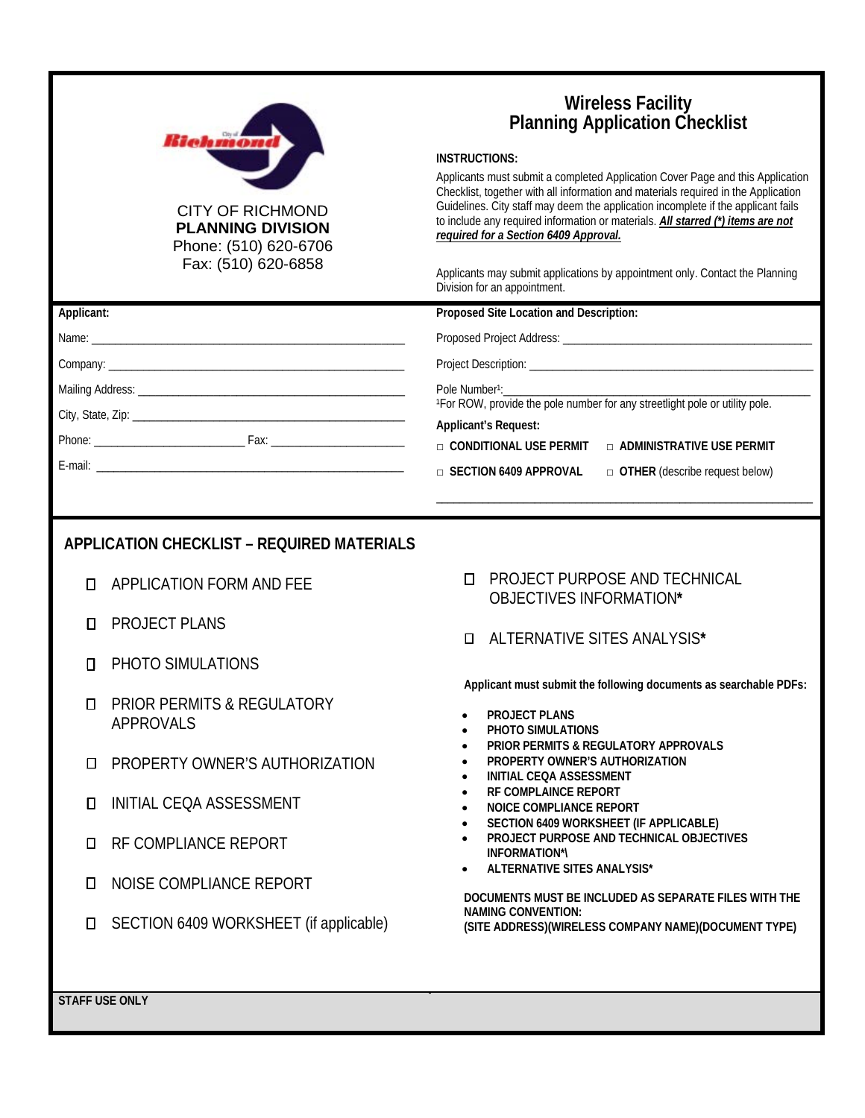|                                                   | <i><b>Bieh moond</b></i><br><b>CITY OF RICHMOND</b><br><b>PLANNING DIVISION</b><br>Phone: (510) 620-6706<br>Fax: (510) 620-6858 | <b>Wireless Facility</b><br><b>Planning Application Checklist</b><br><b>INSTRUCTIONS:</b><br>Applicants must submit a completed Application Cover Page and this Application<br>Checklist, together with all information and materials required in the Application<br>Guidelines. City staff may deem the application incomplete if the applicant fails<br>to include any required information or materials. All starred (*) items are not<br>required for a Section 6409 Approval.<br>Applicants may submit applications by appointment only. Contact the Planning<br>Division for an appointment. |
|---------------------------------------------------|---------------------------------------------------------------------------------------------------------------------------------|----------------------------------------------------------------------------------------------------------------------------------------------------------------------------------------------------------------------------------------------------------------------------------------------------------------------------------------------------------------------------------------------------------------------------------------------------------------------------------------------------------------------------------------------------------------------------------------------------|
| Applicant:                                        |                                                                                                                                 | Proposed Site Location and Description:                                                                                                                                                                                                                                                                                                                                                                                                                                                                                                                                                            |
|                                                   |                                                                                                                                 |                                                                                                                                                                                                                                                                                                                                                                                                                                                                                                                                                                                                    |
|                                                   |                                                                                                                                 |                                                                                                                                                                                                                                                                                                                                                                                                                                                                                                                                                                                                    |
|                                                   |                                                                                                                                 | Pole Number <sup>1</sup> :                                                                                                                                                                                                                                                                                                                                                                                                                                                                                                                                                                         |
|                                                   |                                                                                                                                 | <sup>1</sup> For ROW, provide the pole number for any streetlight pole or utility pole.<br><b>Applicant's Request:</b>                                                                                                                                                                                                                                                                                                                                                                                                                                                                             |
|                                                   |                                                                                                                                 | □ CONDITIONAL USE PERMIT<br>□ ADMINISTRATIVE USE PERMIT                                                                                                                                                                                                                                                                                                                                                                                                                                                                                                                                            |
|                                                   |                                                                                                                                 | □ SECTION 6409 APPROVAL<br>$\Box$ OTHER (describe request below)                                                                                                                                                                                                                                                                                                                                                                                                                                                                                                                                   |
|                                                   |                                                                                                                                 |                                                                                                                                                                                                                                                                                                                                                                                                                                                                                                                                                                                                    |
|                                                   |                                                                                                                                 |                                                                                                                                                                                                                                                                                                                                                                                                                                                                                                                                                                                                    |
| <b>APPLICATION CHECKLIST - REQUIRED MATERIALS</b> |                                                                                                                                 |                                                                                                                                                                                                                                                                                                                                                                                                                                                                                                                                                                                                    |
| О                                                 | APPLICATION FORM AND FEE                                                                                                        | <b>PROJECT PURPOSE AND TECHNICAL</b><br>П.<br>OBJECTIVES INFORMATION*                                                                                                                                                                                                                                                                                                                                                                                                                                                                                                                              |
| Π                                                 | <b>PROJECT PLANS</b>                                                                                                            | ALTERNATIVE SITES ANALYSIS*<br>п                                                                                                                                                                                                                                                                                                                                                                                                                                                                                                                                                                   |
| П                                                 | PHOTO SIMULATIONS                                                                                                               |                                                                                                                                                                                                                                                                                                                                                                                                                                                                                                                                                                                                    |
|                                                   |                                                                                                                                 | Applicant must submit the following documents as searchable PDFs:                                                                                                                                                                                                                                                                                                                                                                                                                                                                                                                                  |
| Π                                                 | <b>PRIOR PERMITS &amp; REGULATORY</b><br><b>APPROVALS</b>                                                                       | <b>PROJECT PLANS</b><br>PHOTO SIMULATIONS                                                                                                                                                                                                                                                                                                                                                                                                                                                                                                                                                          |

- **D** PROPERTY OWNER'S AUTHORIZATION
- INITIAL CEQA ASSESSMENT
- **D** RF COMPLIANCE REPORT
- **II** NOISE COMPLIANCE REPORT
- SECTION 6409 WORKSHEET (if applicable)
- **PHOTO SIMULATIONS**
- **PRIOR PERMITS & REGULATORY APPROVALS**
- **PROPERTY OWNER'S AUTHORIZATION**
- **INITIAL CEQA ASSESSMENT**
- **RF COMPLAINCE REPORT**
- **NOICE COMPLIANCE REPORT**
- **SECTION 6409 WORKSHEET (IF APPLICABLE)**
- **PROJECT PURPOSE AND TECHNICAL OBJECTIVES INFORMATION\*\**
- **ALTERNATIVE SITES ANALYSIS\***

**DOCUMENTS MUST BE INCLUDED AS SEPARATE FILES WITH THE NAMING CONVENTION: (SITE ADDRESS)(WIRELESS COMPANY NAME)(DOCUMENT TYPE)**

**STAFF USE ONLY**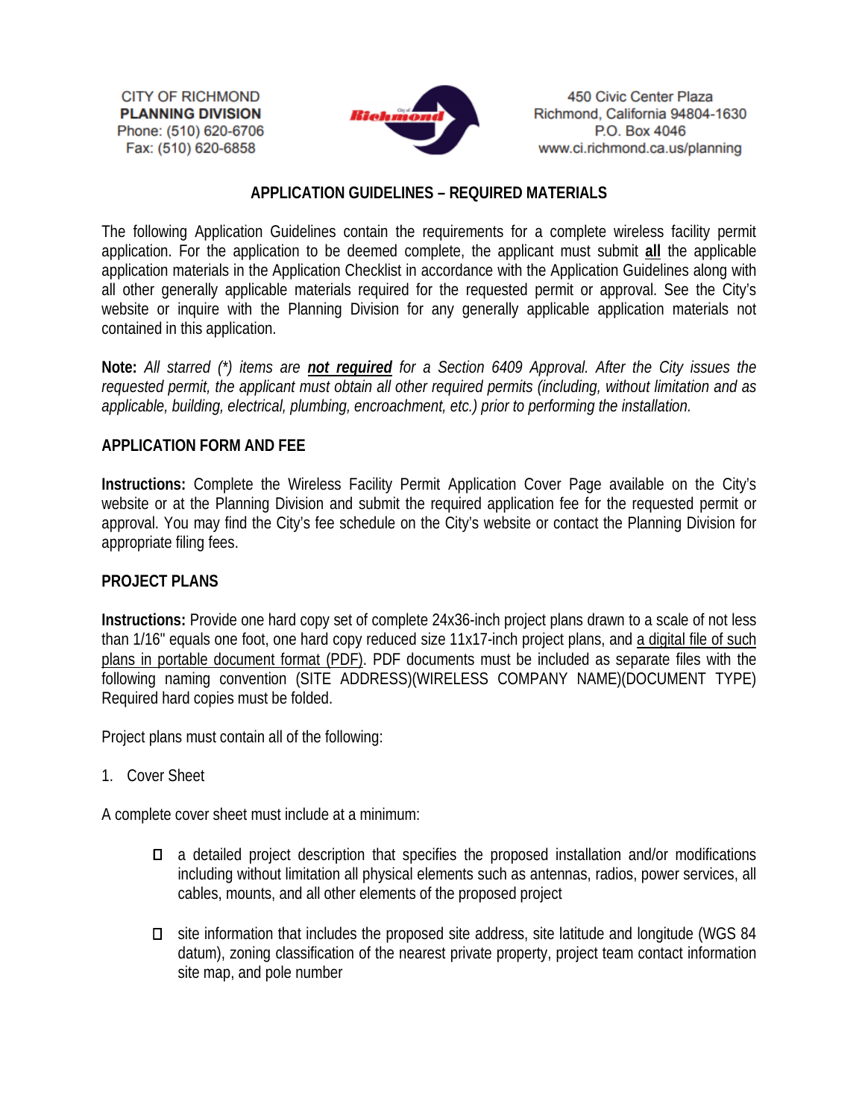**CITY OF RICHMOND PLANNING DIVISION** Phone: (510) 620-6706 Fax: (510) 620-6858



450 Civic Center Plaza Richmond, California 94804-1630 P.O. Box 4046 www.ci.richmond.ca.us/planning

# **APPLICATION GUIDELINES – REQUIRED MATERIALS**

The following Application Guidelines contain the requirements for a complete wireless facility permit application. For the application to be deemed complete, the applicant must submit **all** the applicable application materials in the Application Checklist in accordance with the Application Guidelines along with all other generally applicable materials required for the requested permit or approval. See the City's website or inquire with the Planning Division for any generally applicable application materials not contained in this application.

**Note:** *All starred (\*) items are not required for a Section 6409 Approval. After the City issues the requested permit, the applicant must obtain all other required permits (including, without limitation and as applicable, building, electrical, plumbing, encroachment, etc.) prior to performing the installation.*

# **APPLICATION FORM AND FEE**

**Instructions:** Complete the Wireless Facility Permit Application Cover Page available on the City's website or at the Planning Division and submit the required application fee for the requested permit or approval. You may find the City's fee schedule on the City's website or contact the Planning Division for appropriate filing fees.

### **PROJECT PLANS**

**Instructions:** Provide one hard copy set of complete 24x36-inch project plans drawn to a scale of not less than 1/16" equals one foot, one hard copy reduced size 11x17-inch project plans, and a digital file of such plans in portable document format (PDF). PDF documents must be included as separate files with the following naming convention (SITE ADDRESS)(WIRELESS COMPANY NAME)(DOCUMENT TYPE) Required hard copies must be folded.

Project plans must contain all of the following:

1. Cover Sheet

A complete cover sheet must include at a minimum:

- a detailed project description that specifies the proposed installation and/or modifications including without limitation all physical elements such as antennas, radios, power services, all cables, mounts, and all other elements of the proposed project
- site information that includes the proposed site address, site latitude and longitude (WGS 84 datum), zoning classification of the nearest private property, project team contact information site map, and pole number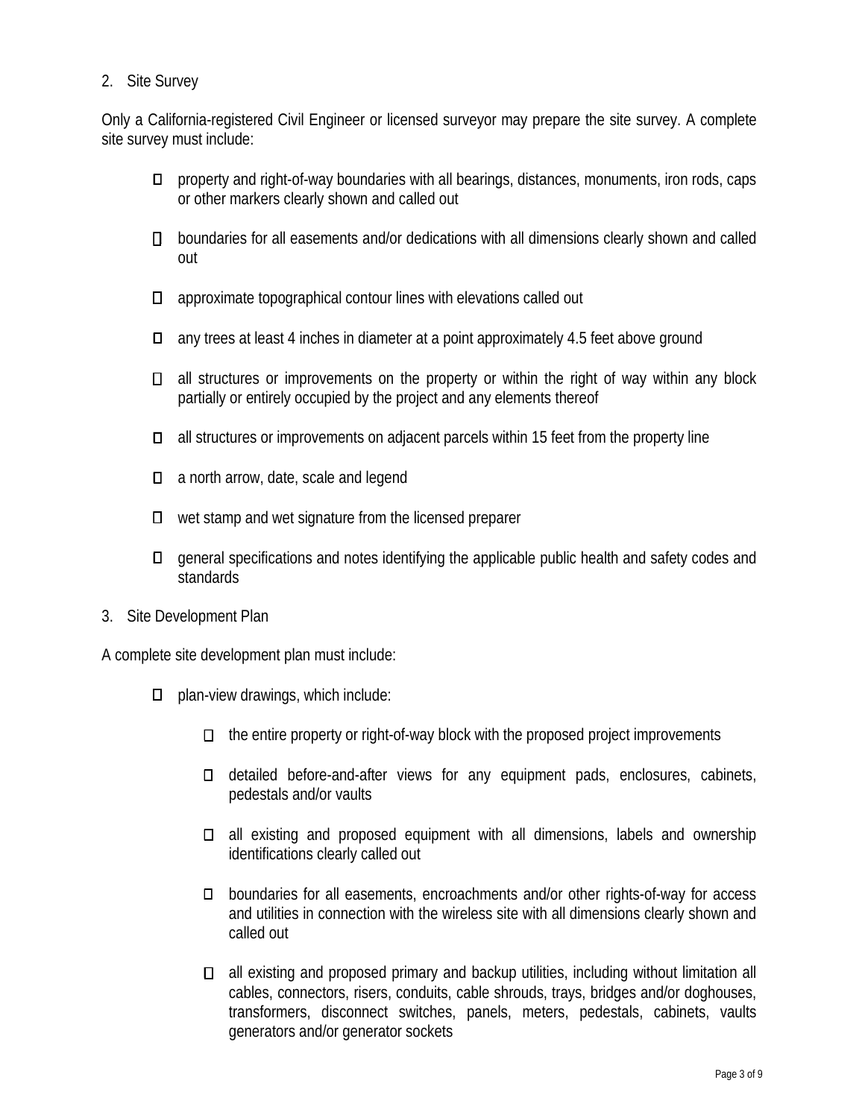## 2. Site Survey

Only a California-registered Civil Engineer or licensed surveyor may prepare the site survey. A complete site survey must include:

- property and right-of-way boundaries with all bearings, distances, monuments, iron rods, caps or other markers clearly shown and called out
- □ boundaries for all easements and/or dedications with all dimensions clearly shown and called out
- $\square$  approximate topographical contour lines with elevations called out
- $\Box$  any trees at least 4 inches in diameter at a point approximately 4.5 feet above ground
- all structures or improvements on the property or within the right of way within any block partially or entirely occupied by the project and any elements thereof
- all structures or improvements on adjacent parcels within 15 feet from the property line
- □ a north arrow, date, scale and legend
- $\Box$  wet stamp and wet signature from the licensed preparer
- general specifications and notes identifying the applicable public health and safety codes and standards
- 3. Site Development Plan

A complete site development plan must include:

- $\Box$  plan-view drawings, which include:
	- $\Box$  the entire property or right-of-way block with the proposed project improvements
	- $\Box$  detailed before-and-after views for any equipment pads, enclosures, cabinets, pedestals and/or vaults
	- $\Box$  all existing and proposed equipment with all dimensions, labels and ownership identifications clearly called out
	- boundaries for all easements, encroachments and/or other rights-of-way for access and utilities in connection with the wireless site with all dimensions clearly shown and called out
	- all existing and proposed primary and backup utilities, including without limitation all cables, connectors, risers, conduits, cable shrouds, trays, bridges and/or doghouses, transformers, disconnect switches, panels, meters, pedestals, cabinets, vaults generators and/or generator sockets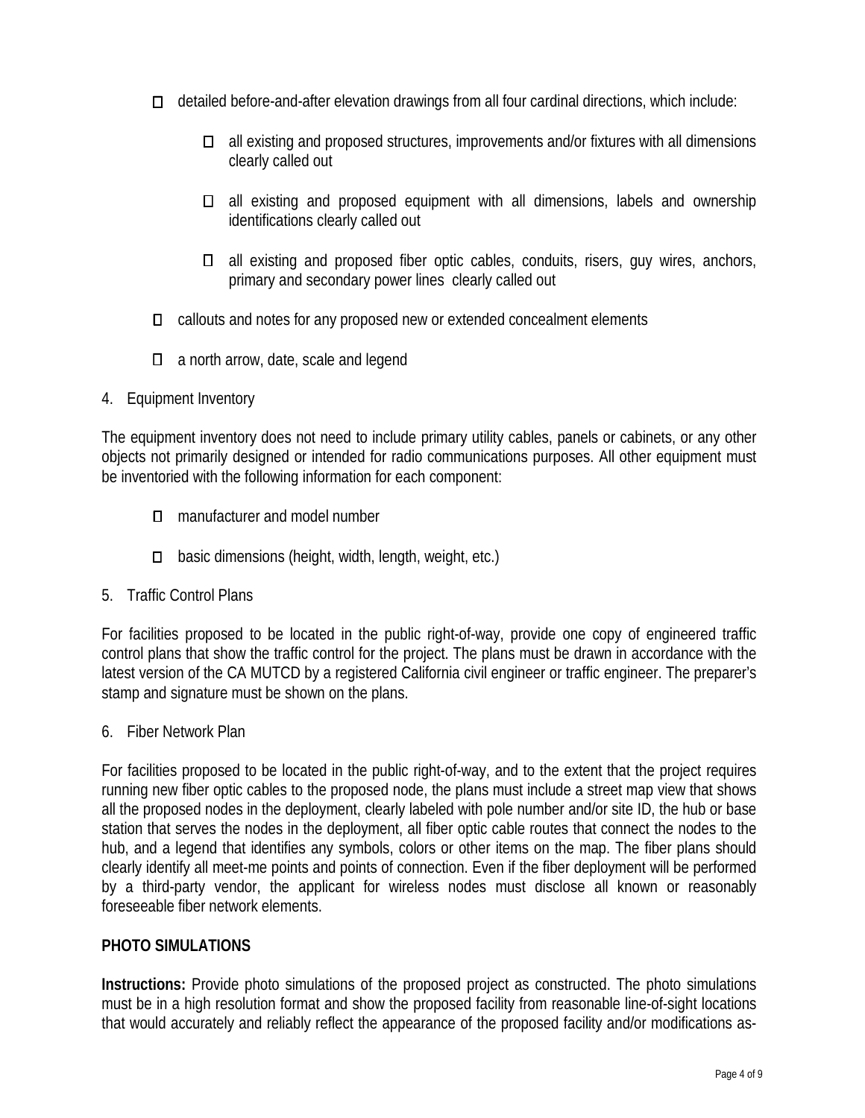- $\Box$  detailed before-and-after elevation drawings from all four cardinal directions, which include:
	- $\Box$  all existing and proposed structures, improvements and/or fixtures with all dimensions clearly called out
	- $\Box$  all existing and proposed equipment with all dimensions, labels and ownership identifications clearly called out
	- $\Box$  all existing and proposed fiber optic cables, conduits, risers, guy wires, anchors, primary and secondary power lines clearly called out
- callouts and notes for any proposed new or extended concealment elements
- □ a north arrow, date, scale and legend
- 4. Equipment Inventory

The equipment inventory does not need to include primary utility cables, panels or cabinets, or any other objects not primarily designed or intended for radio communications purposes. All other equipment must be inventoried with the following information for each component:

- □ manufacturer and model number
- $\Box$  basic dimensions (height, width, length, weight, etc.)
- 5. Traffic Control Plans

For facilities proposed to be located in the public right-of-way, provide one copy of engineered traffic control plans that show the traffic control for the project. The plans must be drawn in accordance with the latest version of the CA MUTCD by a registered California civil engineer or traffic engineer. The preparer's stamp and signature must be shown on the plans.

6. Fiber Network Plan

For facilities proposed to be located in the public right-of-way, and to the extent that the project requires running new fiber optic cables to the proposed node, the plans must include a street map view that shows all the proposed nodes in the deployment, clearly labeled with pole number and/or site ID, the hub or base station that serves the nodes in the deployment, all fiber optic cable routes that connect the nodes to the hub, and a legend that identifies any symbols, colors or other items on the map. The fiber plans should clearly identify all meet-me points and points of connection. Even if the fiber deployment will be performed by a third-party vendor, the applicant for wireless nodes must disclose all known or reasonably foreseeable fiber network elements.

### **PHOTO SIMULATIONS**

**Instructions:** Provide photo simulations of the proposed project as constructed. The photo simulations must be in a high resolution format and show the proposed facility from reasonable line-of-sight locations that would accurately and reliably reflect the appearance of the proposed facility and/or modifications as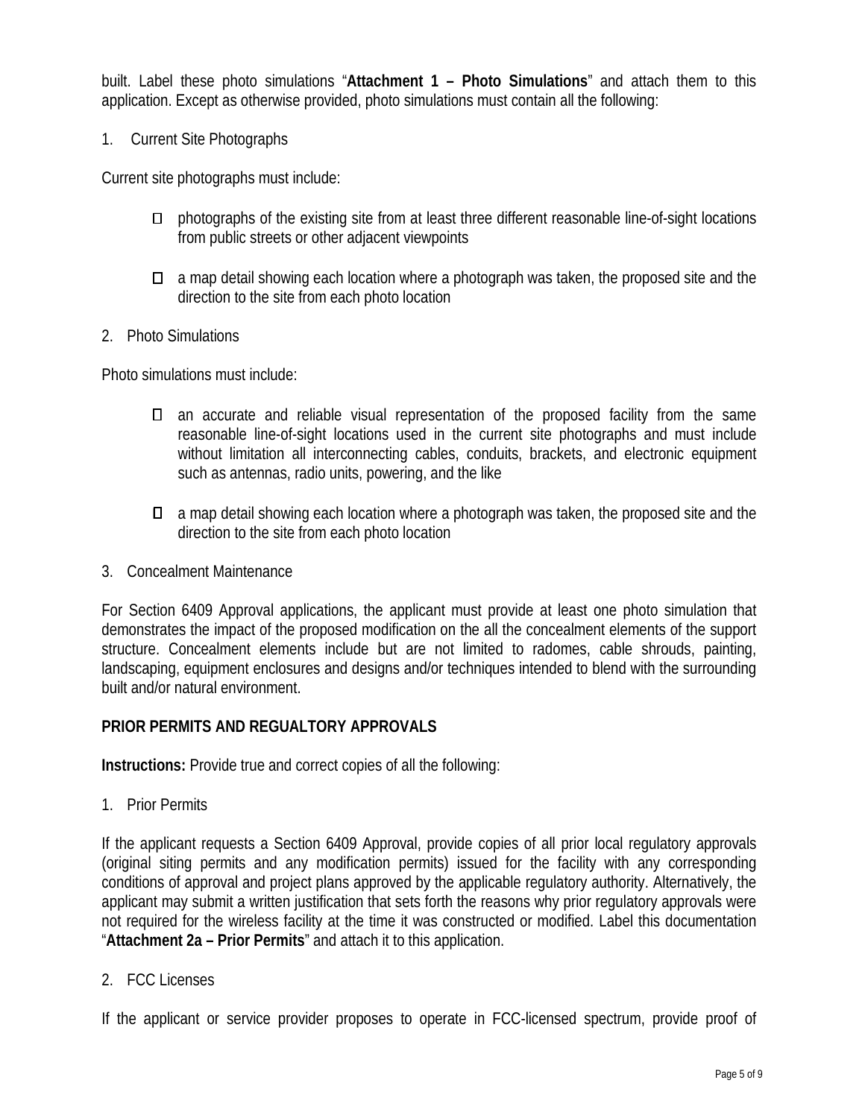built. Label these photo simulations "**Attachment 1 – Photo Simulations**" and attach them to this application. Except as otherwise provided, photo simulations must contain all the following:

1. Current Site Photographs

Current site photographs must include:

- $\square$  photographs of the existing site from at least three different reasonable line-of-sight locations from public streets or other adjacent viewpoints
- $\Box$  a map detail showing each location where a photograph was taken, the proposed site and the direction to the site from each photo location
- 2. Photo Simulations

Photo simulations must include:

- an accurate and reliable visual representation of the proposed facility from the same reasonable line-of-sight locations used in the current site photographs and must include without limitation all interconnecting cables, conduits, brackets, and electronic equipment such as antennas, radio units, powering, and the like
- $\Box$  a map detail showing each location where a photograph was taken, the proposed site and the direction to the site from each photo location
- 3. Concealment Maintenance

For Section 6409 Approval applications, the applicant must provide at least one photo simulation that demonstrates the impact of the proposed modification on the all the concealment elements of the support structure. Concealment elements include but are not limited to radomes, cable shrouds, painting, landscaping, equipment enclosures and designs and/or techniques intended to blend with the surrounding built and/or natural environment.

#### **PRIOR PERMITS AND REGUALTORY APPROVALS**

**Instructions:** Provide true and correct copies of all the following:

1. Prior Permits

If the applicant requests a Section 6409 Approval, provide copies of all prior local regulatory approvals (original siting permits and any modification permits) issued for the facility with any corresponding conditions of approval and project plans approved by the applicable regulatory authority. Alternatively, the applicant may submit a written justification that sets forth the reasons why prior regulatory approvals were not required for the wireless facility at the time it was constructed or modified. Label this documentation "**Attachment 2a – Prior Permits**" and attach it to this application.

2. FCC Licenses

If the applicant or service provider proposes to operate in FCC-licensed spectrum, provide proof of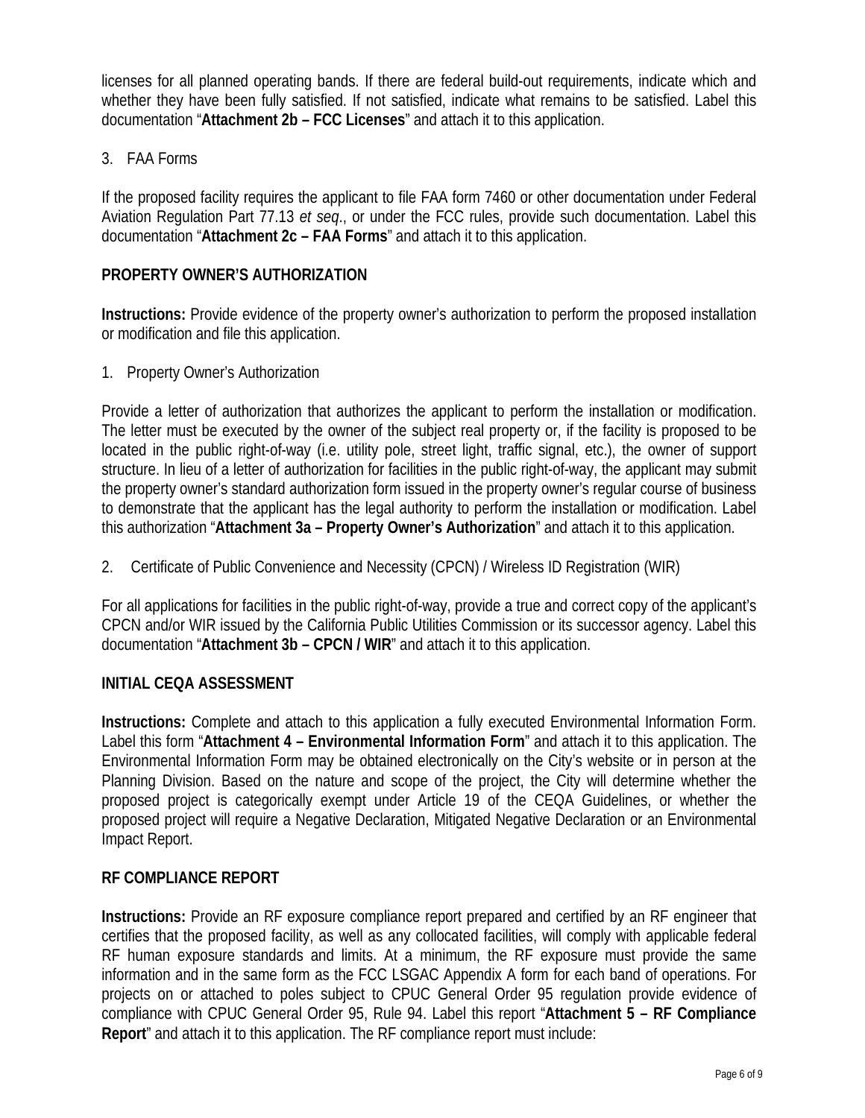licenses for all planned operating bands. If there are federal build-out requirements, indicate which and whether they have been fully satisfied. If not satisfied, indicate what remains to be satisfied. Label this documentation "**Attachment 2b – FCC Licenses**" and attach it to this application.

## 3. FAA Forms

If the proposed facility requires the applicant to file FAA form 7460 or other documentation under Federal Aviation Regulation Part 77.13 *et seq*., or under the FCC rules, provide such documentation. Label this documentation "**Attachment 2c – FAA Forms**" and attach it to this application.

### **PROPERTY OWNER'S AUTHORIZATION**

**Instructions:** Provide evidence of the property owner's authorization to perform the proposed installation or modification and file this application.

1. Property Owner's Authorization

Provide a letter of authorization that authorizes the applicant to perform the installation or modification. The letter must be executed by the owner of the subject real property or, if the facility is proposed to be located in the public right-of-way (i.e. utility pole, street light, traffic signal, etc.), the owner of support structure. In lieu of a letter of authorization for facilities in the public right-of-way, the applicant may submit the property owner's standard authorization form issued in the property owner's regular course of business to demonstrate that the applicant has the legal authority to perform the installation or modification. Label this authorization "**Attachment 3a – Property Owner's Authorization**" and attach it to this application.

2. Certificate of Public Convenience and Necessity (CPCN) / Wireless ID Registration (WIR)

For all applications for facilities in the public right-of-way, provide a true and correct copy of the applicant's CPCN and/or WIR issued by the California Public Utilities Commission or its successor agency. Label this documentation "**Attachment 3b – CPCN / WIR**" and attach it to this application.

### **INITIAL CEQA ASSESSMENT**

**Instructions:** Complete and attach to this application a fully executed Environmental Information Form. Label this form "**Attachment 4 – Environmental Information Form**" and attach it to this application. The Environmental Information Form may be obtained electronically on the City's website or in person at the Planning Division. Based on the nature and scope of the project, the City will determine whether the proposed project is categorically exempt under Article 19 of the CEQA Guidelines, or whether the proposed project will require a Negative Declaration, Mitigated Negative Declaration or an Environmental Impact Report.

### **RF COMPLIANCE REPORT**

**Instructions:** Provide an RF exposure compliance report prepared and certified by an RF engineer that certifies that the proposed facility, as well as any collocated facilities, will comply with applicable federal RF human exposure standards and limits. At a minimum, the RF exposure must provide the same information and in the same form as the FCC LSGAC Appendix A form for each band of operations. For projects on or attached to poles subject to CPUC General Order 95 regulation provide evidence of compliance with CPUC General Order 95, Rule 94. Label this report "**Attachment 5 – RF Compliance Report**" and attach it to this application. The RF compliance report must include: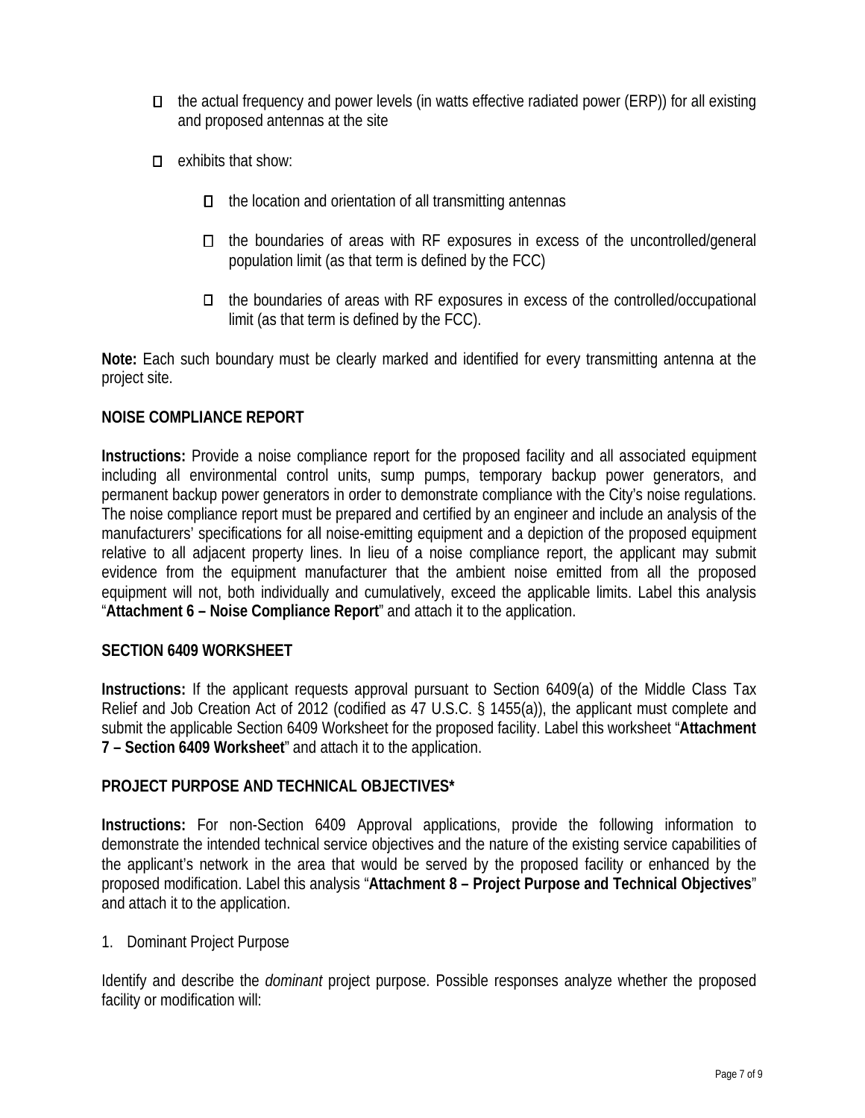- $\Box$  the actual frequency and power levels (in watts effective radiated power (ERP)) for all existing and proposed antennas at the site
- $\Box$  exhibits that show:
	- $\Box$  the location and orientation of all transmitting antennas
	- $\Box$  the boundaries of areas with RF exposures in excess of the uncontrolled/general population limit (as that term is defined by the FCC)
	- $\Box$  the boundaries of areas with RF exposures in excess of the controlled/occupational limit (as that term is defined by the FCC).

**Note:** Each such boundary must be clearly marked and identified for every transmitting antenna at the project site.

#### **NOISE COMPLIANCE REPORT**

**Instructions:** Provide a noise compliance report for the proposed facility and all associated equipment including all environmental control units, sump pumps, temporary backup power generators, and permanent backup power generators in order to demonstrate compliance with the City's noise regulations. The noise compliance report must be prepared and certified by an engineer and include an analysis of the manufacturers' specifications for all noise-emitting equipment and a depiction of the proposed equipment relative to all adjacent property lines. In lieu of a noise compliance report, the applicant may submit evidence from the equipment manufacturer that the ambient noise emitted from all the proposed equipment will not, both individually and cumulatively, exceed the applicable limits. Label this analysis "**Attachment 6 – Noise Compliance Report**" and attach it to the application.

#### **SECTION 6409 WORKSHEET**

**Instructions:** If the applicant requests approval pursuant to Section 6409(a) of the Middle Class Tax Relief and Job Creation Act of 2012 (codified as 47 U.S.C. § 1455(a)), the applicant must complete and submit the applicable Section 6409 Worksheet for the proposed facility. Label this worksheet "**Attachment 7 – Section 6409 Worksheet**" and attach it to the application.

#### **PROJECT PURPOSE AND TECHNICAL OBJECTIVES\***

**Instructions:** For non-Section 6409 Approval applications, provide the following information to demonstrate the intended technical service objectives and the nature of the existing service capabilities of the applicant's network in the area that would be served by the proposed facility or enhanced by the proposed modification. Label this analysis "**Attachment 8 – Project Purpose and Technical Objectives**" and attach it to the application.

#### 1. Dominant Project Purpose

Identify and describe the *dominant* project purpose. Possible responses analyze whether the proposed facility or modification will: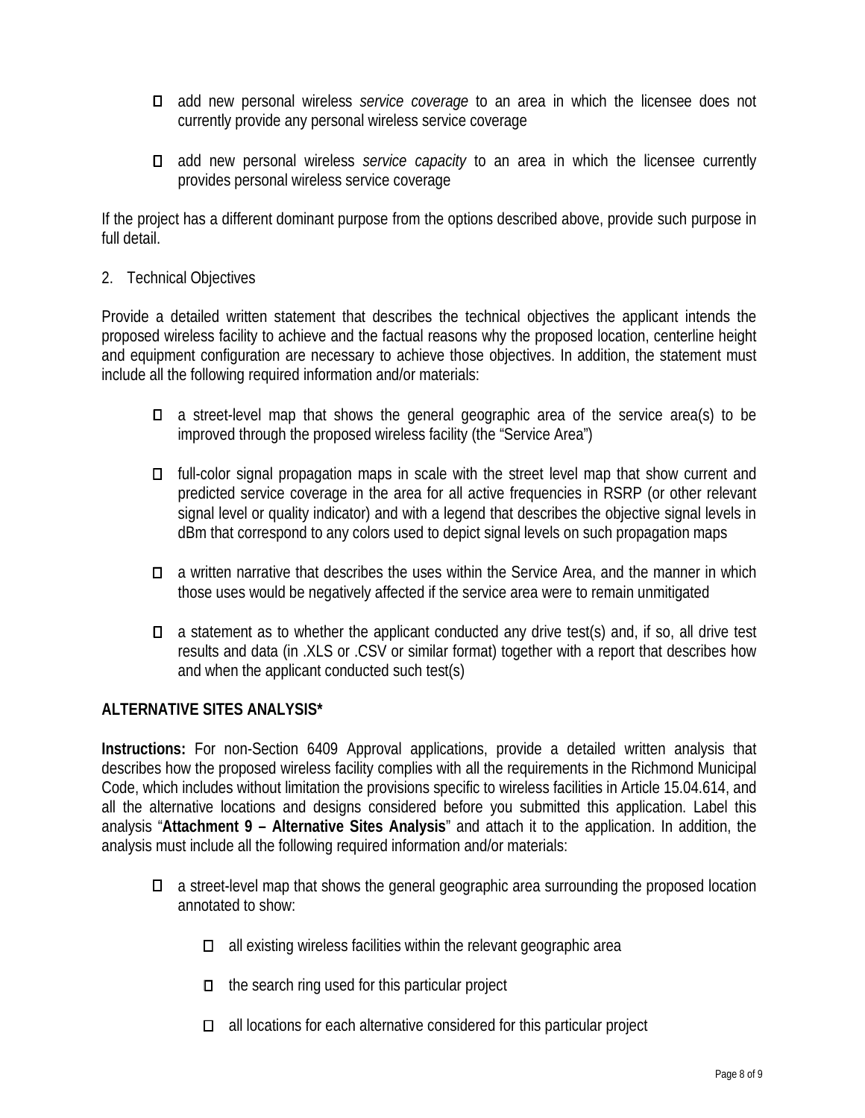- add new personal wireless *service coverage* to an area in which the licensee does not currently provide any personal wireless service coverage
- add new personal wireless *service capacity* to an area in which the licensee currently provides personal wireless service coverage

If the project has a different dominant purpose from the options described above, provide such purpose in full detail.

#### 2. Technical Objectives

Provide a detailed written statement that describes the technical objectives the applicant intends the proposed wireless facility to achieve and the factual reasons why the proposed location, centerline height and equipment configuration are necessary to achieve those objectives. In addition, the statement must include all the following required information and/or materials:

- a street-level map that shows the general geographic area of the service area(s) to be improved through the proposed wireless facility (the "Service Area")
- $\Box$  full-color signal propagation maps in scale with the street level map that show current and predicted service coverage in the area for all active frequencies in RSRP (or other relevant signal level or quality indicator) and with a legend that describes the objective signal levels in dBm that correspond to any colors used to depict signal levels on such propagation maps
- a written narrative that describes the uses within the Service Area, and the manner in which those uses would be negatively affected if the service area were to remain unmitigated
- $\Box$  a statement as to whether the applicant conducted any drive test(s) and, if so, all drive test results and data (in .XLS or .CSV or similar format) together with a report that describes how and when the applicant conducted such test(s)

### **ALTERNATIVE SITES ANALYSIS\***

**Instructions:** For non-Section 6409 Approval applications, provide a detailed written analysis that describes how the proposed wireless facility complies with all the requirements in the Richmond Municipal Code, which includes without limitation the provisions specific to wireless facilities in Article 15.04.614, and all the alternative locations and designs considered before you submitted this application. Label this analysis "**Attachment 9 – Alternative Sites Analysis**" and attach it to the application. In addition, the analysis must include all the following required information and/or materials:

- a street-level map that shows the general geographic area surrounding the proposed location annotated to show:
	- $\Box$  all existing wireless facilities within the relevant geographic area
	- $\Box$  the search ring used for this particular project
	- $\Box$  all locations for each alternative considered for this particular project